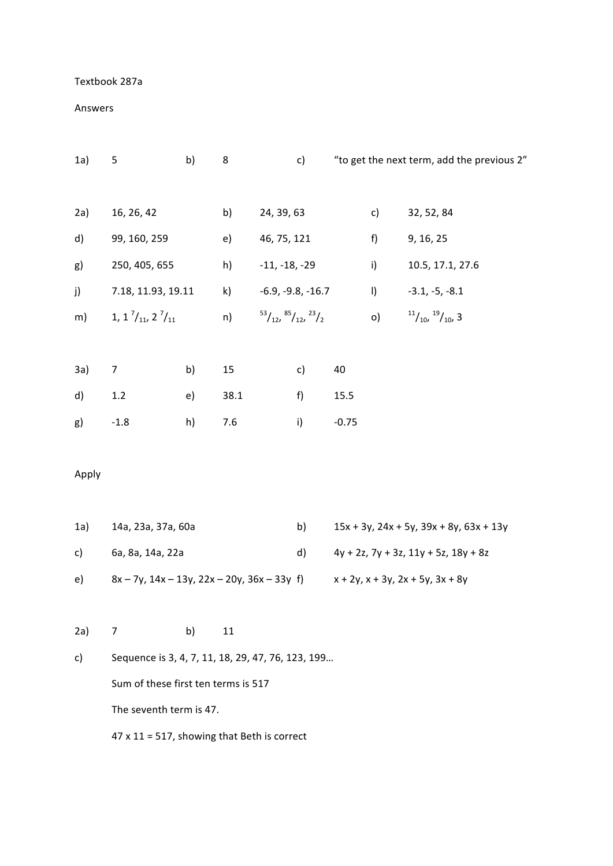## Textbook 287a

## Answers

| 1a)   | 5                                                                              | b) | 8    |                                                    | c) |                                                    |         | "to get the next term, add the previous 2" |
|-------|--------------------------------------------------------------------------------|----|------|----------------------------------------------------|----|----------------------------------------------------|---------|--------------------------------------------|
|       |                                                                                |    |      |                                                    |    |                                                    |         |                                            |
| 2a)   | 16, 26, 42                                                                     |    | b)   | 24, 39, 63                                         |    |                                                    | c)      | 32, 52, 84                                 |
| d)    | 99, 160, 259                                                                   |    | e)   | 46, 75, 121                                        |    |                                                    | f)      | 9, 16, 25                                  |
| g)    | 250, 405, 655                                                                  |    | h)   | $-11, -18, -29$                                    |    |                                                    | i)      | 10.5, 17.1, 27.6                           |
| j)    | 7.18, 11.93, 19.11                                                             |    | k)   | $-6.9, -9.8, -16.7$                                |    |                                                    | $\vert$ | $-3.1, -5, -8.1$                           |
| m)    | 1, 1 $\frac{7}{11}$ , 2 $\frac{7}{11}$                                         |    | n)   | $\frac{53}{12}$ , $\frac{85}{12}$ , $\frac{23}{2}$ |    |                                                    | o)      | $\frac{11}{10}$ , $\frac{19}{10}$ , 3      |
|       |                                                                                |    |      |                                                    |    |                                                    |         |                                            |
| 3a)   | 7                                                                              | b) | 15   |                                                    | c) | 40                                                 |         |                                            |
| d)    | $1.2$                                                                          | e) | 38.1 |                                                    | f) | 15.5                                               |         |                                            |
| g)    | $-1.8$                                                                         | h) | 7.6  |                                                    | i) | $-0.75$                                            |         |                                            |
|       |                                                                                |    |      |                                                    |    |                                                    |         |                                            |
| Apply |                                                                                |    |      |                                                    |    |                                                    |         |                                            |
|       |                                                                                |    |      |                                                    |    |                                                    |         |                                            |
| 1a)   | 14a, 23a, 37a, 60a                                                             |    |      |                                                    | b) | $15x + 3y$ , $24x + 5y$ , $39x + 8y$ , $63x + 13y$ |         |                                            |
| c)    | 6a, 8a, 14a, 22a                                                               |    |      |                                                    | d) | $4y + 2z$ , $7y + 3z$ , $11y + 5z$ , $18y + 8z$    |         |                                            |
| e)    | $8x - 7y$ , $14x - 13y$ , $22x - 20y$ , $36x - 33y$ f)                         |    |      |                                                    |    | $x + 2y$ , $x + 3y$ , $2x + 5y$ , $3x + 8y$        |         |                                            |
|       |                                                                                |    |      |                                                    |    |                                                    |         |                                            |
| 2a)   | 7                                                                              | b) | 11   |                                                    |    |                                                    |         |                                            |
| c)    | Sequence is 3, 4, 7, 11, 18, 29, 47, 76, 123, 199                              |    |      |                                                    |    |                                                    |         |                                            |
|       | Sum of these first ten terms is 517                                            |    |      |                                                    |    |                                                    |         |                                            |
|       | The seventh term is 47.<br>$47 \times 11 = 517$ , showing that Beth is correct |    |      |                                                    |    |                                                    |         |                                            |
|       |                                                                                |    |      |                                                    |    |                                                    |         |                                            |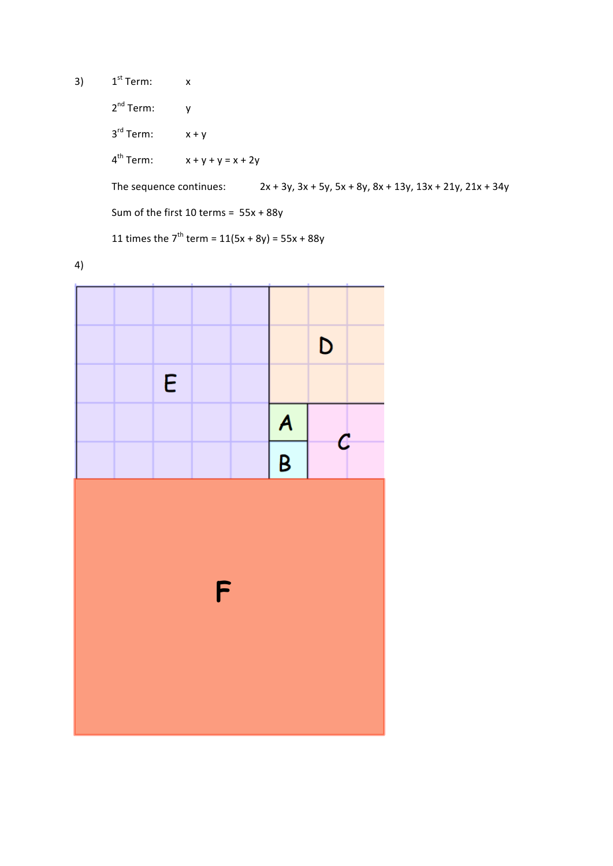3)  $1^{st}$  Term:  $x$ 

2<sup>nd</sup> Term: y  $3^{rd}$  Term:  $x + y$ 

 $4^{th}$  Term:  $x + y + y = x + 2y$ 

The sequence continues:  $2x + 3y$ ,  $3x + 5y$ ,  $5x + 8y$ ,  $8x + 13y$ ,  $13x + 21y$ ,  $21x + 34y$ 

Sum of the first  $10$  terms =  $55x + 88y$ 

11 times the  $7^{th}$  term =  $11(5x + 8y) = 55x + 88y$ 

4)